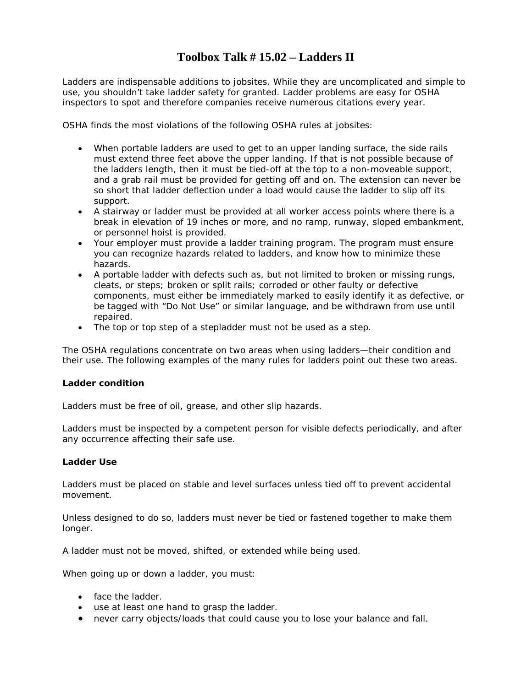### **Toolbox Talk # 15.02 – Ladders II**

Ladders are indispensable additions to jobsites. While they are uncomplicated and simple to use, you shouldn't take ladder safety for granted. Ladder problems are easy for OSHA inspectors to spot and therefore companies receive numerous citations every year.

OSHA finds the most violations of the following OSHA rules at jobsites:

- When portable ladders are used to get to an upper landing surface, the side rails must extend three feet above the upper landing. If that is not possible because of the ladders length, then it must be tied-off at the top to a non-moveable support, and a grab rail must be provided for getting off and on. The extension can never be so short that ladder deflection under a load would cause the ladder to slip off its support.
- A stairway or ladder must be provided at all worker access points where there is a break in elevation of 19 inches or more, and no ramp, runway, sloped embankment, or personnel hoist is provided.
- Your employer must provide a ladder training program. The program must ensure you can recognize hazards related to ladders, and know how to minimize these hazards.
- A portable ladder with defects such as, but not limited to broken or missing rungs, cleats, or steps; broken or split rails; corroded or other faulty or defective components, must either be immediately marked to easily identify it as defective, or be tagged with "Do Not Use" or similar language, and be withdrawn from use until repaired.
- The top or top step of a stepladder must not be used as a step.

The OSHA regulations concentrate on two areas when using ladders—their condition and their use. The following examples of the many rules for ladders point out these two areas.

#### **Ladder condition**

Ladders must be free of oil, grease, and other slip hazards.

Ladders must be inspected by a competent person for visible defects periodically, and after any occurrence affecting their safe use.

#### **Ladder Use**

Ladders must be placed on stable and level surfaces unless tied off to prevent accidental movement.

Unless designed to do so, ladders must never be tied or fastened together to make them longer.

A ladder must not be moved, shifted, or extended while being used.

When going up or down a ladder, you must:

- face the ladder.
- use at least one hand to grasp the ladder.
- never carry objects/loads that could cause you to lose your balance and fall.